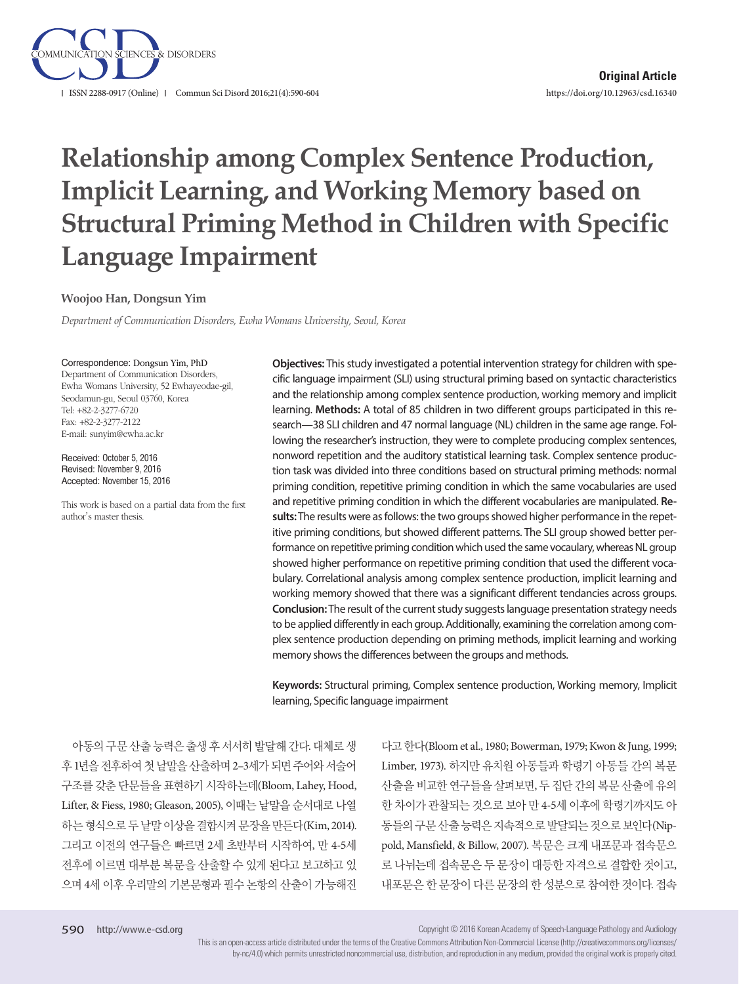

# **Relationship among Complex Sentence Production, Implicit Learning, and Working Memory based on Structural Priming Method in Children with Specific Language Impairment**

### **Woojoo Han, Dongsun Yim**

*Department of Communication Disorders, Ewha Womans University, Seoul, Korea*

#### Correspondence: Dongsun Yim, PhD

Department of Communication Disorders, Ewha Womans University, 52 Ewhayeodae-gil, Seodamun-gu, Seoul 03760, Korea Tel: +82-2-3277-6720 Fax: +82-2-3277-2122 E-mail: sunyim@ewha.ac.kr

Received: October 5, 2016 Revised: November 9, 2016 Accepted: November 15, 2016

This work is based on a partial data from the first author's master thesis.

**Objectives:** This study investigated a potential intervention strategy for children with specific language impairment (SLI) using structural priming based on syntactic characteristics and the relationship among complex sentence production, working memory and implicit learning. **Methods:** A total of 85 children in two different groups participated in this research—38 SLI children and 47 normal language (NL) children in the same age range. Following the researcher's instruction, they were to complete producing complex sentences, nonword repetition and the auditory statistical learning task. Complex sentence production task was divided into three conditions based on structural priming methods: normal priming condition, repetitive priming condition in which the same vocabularies are used and repetitive priming condition in which the different vocabularies are manipulated. **Results:** The results were as follows: the two groups showed higher performance in the repetitive priming conditions, but showed different patterns. The SLI group showed better performance on repetitive priming condition which used the same vocaulary, whereas NL group showed higher performance on repetitive priming condition that used the different vocabulary. Correlational analysis among complex sentence production, implicit learning and working memory showed that there was a significant different tendancies across groups. **Conclusion:** The result of the current study suggests language presentation strategy needs to be applied differently in each group. Additionally, examining the correlation among complex sentence production depending on priming methods, implicit learning and working memory shows the differences between the groups and methods.

**Keywords:** Structural priming, Complex sentence production, Working memory, Implicit learning, Specific language impairment

아동의구문산출능력은출생후서서히발달해간다. 대체로생 후 1년을 전후하여 첫 낱말을 산출하며 2-3세가 되면 주어와 서술어 구조를 갖춘 단문들을 표현하기 시작하는데(Bloom, Lahey, Hood, Lifter, & Fiess, 1980; Gleason, 2005), 이때는 낱말을 순서대로 나열 하는 형식으로 두 낱말 이상을 결합시켜 문장을 만든다(Kim, 2014). 그리고 이전의 연구들은 빠르면 2세 초반부터 시작하여, 만 4-5세 전후에 이르면 대부분 복문을 산출할 수 있게 된다고 보고하고 있 으며 4세 이후 우리말의 기본문형과 필수 논항의 산출이 가능해진

다고한다(Bloom et al., 1980; Bowerman, 1979; Kwon & Jung, 1999; Limber, 1973). 하지만 유치원 아동들과 학령기 아동들 간의 복문 산출을 비교한 연구들을 살펴보면, 두 집단 간의 복문 산출에 유의 한 차이가 관찰되는 것으로 보아 만 4-5세 이후에 학령기까지도 아 동들의구문산출능력은지속적으로발달되는것으로보인다(Nippold, Mansfield, & Billow, 2007). 복문은 크게 내포문과 접속문으 로 나뉘는데 접속문은 두 문장이 대등한 자격으로 결합한 것이고, 내포문은 한 문장이 다른 문장의 한 성분으로 참여한 것이다. 접속

Copyright © 2016 Korean Academy of Speech-Language Pathology and Audiology

This is an open-access article distributed under the terms of the Creative Commons Attribution Non-Commercial License (http://creativecommons.org/licenses/ by-nc/4.0) which permits unrestricted noncommercial use, distribution, and reproduction in any medium, provided the original work is properly cited.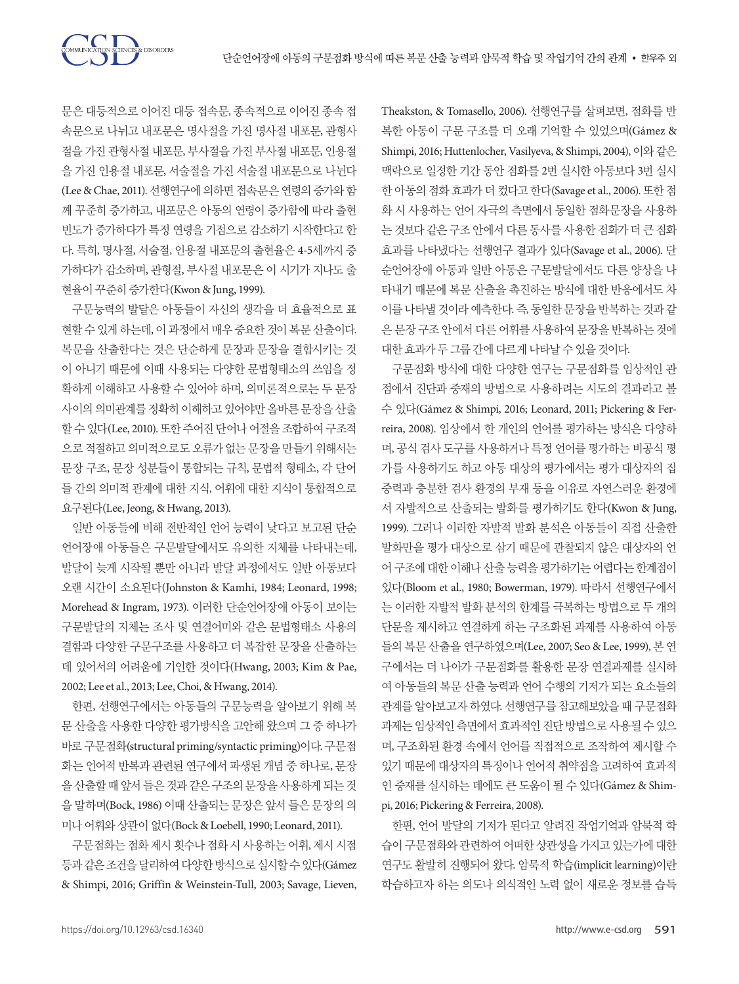문은 대등적으로 이어진 대등 접속문, 종속적으로 이어진 종속 접 속문으로 나뉘고 내포문은 명사절을 가진 명사절 내포문, 관형사 절을 가진 관형사절 내포문, 부사절을 가진 부사절 내포문, 인용절 을 가진 인용절 내포문, 서술절을 가진 서술절 내포문으로 나뉜다 (Lee & Chae, 2011). 선행연구에 의하면 접속문은 연령의 증가와 함 께 꾸준히 증가하고, 내포문은 아동의 연령이 증가함에 따라 출현 빈도가 증가하다가 특정 연령을 기점으로 감소하기 시작한다고 한 다. 특히, 명사절, 서술절, 인용절 내포문의 출현율은 4-5세까지 증 가하다가 감소하며, 관형절, 부사절 내포문은 이 시기가 지나도 출 현율이꾸준히증가한다(Kwon & Jung, 1999).

**ION SCIENCES & DISORDERS** 

구문능력의 발달은 아동들이 자신의 생각을 더 효율적으로 표 현할 수 있게 하는데, 이 과정에서 매우 중요한 것이 복문 산출이다. 복문을 산출한다는 것은 단순하게 문장과 문장을 결합시키는 것 이 아니기 때문에 이때 사용되는 다양한 문법형태소의 쓰임을 정 확하게 이해하고 사용할 수 있어야 하며, 의미론적으로는 두 문장 사이의 의미관계를 정확히 이해하고 있어야만 올바른 문장을 산출 할 수 있다(Lee, 2010). 또한 주어진 단어나 어절을 조합하여 구조적 으로 적절하고 의미적으로도 오류가 없는 문장을 만들기 위해서는 문장 구조, 문장 성분들이 통합되는 규칙, 문법적 형태소, 각 단어 들 간의 의미적 관계에 대한 지식, 어휘에 대한 지식이 통합적으로 요구된다(Lee, Jeong, & Hwang, 2013).

일반 아동들에 비해 전반적인 언어 능력이 낮다고 보고된 단순 언어장애 아동들은 구문발달에서도 유의한 지체를 나타내는데, 발달이 늦게 시작될 뿐만 아니라 발달 과정에서도 일반 아동보다 오랜 시간이 소요된다(Johnston & Kamhi, 1984; Leonard, 1998; Morehead & Ingram, 1973). 이러한 단순언어장애 아동이 보이는 구문발달의 지체는 조사 및 연결어미와 같은 문법형태소 사용의 결함과 다양한 구문구조를 사용하고 더 복잡한 문장을 산출하는 데 있어서의 어려움에 기인한 것이다(Hwang, 2003; Kim & Pae, 2002; Lee et al., 2013; Lee, Choi, & Hwang, 2014).

한편, 선행연구에서는 아동들의 구문능력을 알아보기 위해 복 문 산출을 사용한 다양한 평가방식을 고안해 왔으며 그 중 하나가 바로구문점화(structural priming/syntactic priming)이다. 구문점 화는 언어적 반복과 관련된 연구에서 파생된 개념 중 하나로, 문장 을산출할때앞서들은것과같은구조의문장을사용하게되는것 을 말하며(Bock, 1986) 이때 산출되는 문장은 앞서 들은 문장의 의 미나어휘와상관이없다(Bock & Loebell, 1990; Leonard, 2011).

구문점화는 점화 제시 횟수나 점화 시 사용하는 어휘, 제시 시점 등과같은조건을달리하여다양한방식으로실시할수있다(Gámez & Shimpi, 2016; Griffin & Weinstein-Tull, 2003; Savage, Lieven,

Theakston, & Tomasello, 2006). 선행연구를 살펴보면, 점화를 반 복한 아동이 구문 구조를 더 오래 기억할 수 있었으며(Gámez & Shimpi, 2016; Huttenlocher, Vasilyeva, & Shimpi, 2004), 이와 같은 맥락으로 일정한 기간 동안 점화를 2번 실시한 아동보다 3번 실시 한 아동의 점화 효과가 더 컸다고 한다(Savage et al., 2006). 또한 점 화 시 사용하는 언어 자극의 측면에서 동일한 점화문장을 사용하 는 것보다 같은 구조 안에서 다른 동사를 사용한 점화가 더 큰 점화 효과를 나타냈다는 선행연구 결과가 있다(Savage et al., 2006). 단 순언어장애 아동과 일반 아동은 구문발달에서도 다른 양상을 나 타내기 때문에 복문 산출을 촉진하는 방식에 대한 반응에서도 차 이를 나타낼 것이라 예측한다. 즉, 동일한 문장을 반복하는 것과 같 은 문장 구조 안에서 다른 어휘를 사용하여 문장을 반복하는 것에 대한효과가두그룹간에다르게나타날수있을것이다.

구문점화 방식에 대한 다양한 연구는 구문점화를 임상적인 관 점에서 진단과 중재의 방법으로 사용하려는 시도의 결과라고 볼 수 있다(Gámez & Shimpi, 2016; Leonard, 2011; Pickering & Ferreira, 2008). 임상에서 한 개인의 언어를 평가하는 방식은 다양하 며, 공식 검사 도구를 사용하거나 특정 언어를 평가하는 비공식 평 가를 사용하기도 하고 아동 대상의 평가에서는 평가 대상자의 집 중력과 충분한 검사 환경의 부재 등을 이유로 자연스러운 환경에 서 자발적으로 산출되는 발화를 평가하기도 한다(Kwon & Jung, 1999). 그러나 이러한 자발적 발화 분석은 아동들이 직접 산출한 발화만을 평가 대상으로 삼기 때문에 관찰되지 않은 대상자의 언 어 구조에 대한 이해나 산출 능력을 평가하기는 어렵다는 한계점이 있다(Bloom et al., 1980; Bowerman, 1979). 따라서 선행연구에서 는 이러한 자발적 발화 분석의 한계를 극복하는 방법으로 두 개의 단문을 제시하고 연결하게 하는 구조화된 과제를 사용하여 아동 들의 복문 산출을 연구하였으며(Lee, 2007; Seo & Lee, 1999), 본 연 구에서는 더 나아가 구문점화를 활용한 문장 연결과제를 실시하 여 아동들의 복문 산출 능력과 언어 수행의 기저가 되는 요소들의 관계를 알아보고자 하였다. 선행연구를 참고해보았을 때 구문점화 과제는 임상적인 측면에서 효과적인 진단 방법으로 사용될 수 있으 며, 구조화된 환경 속에서 언어를 직접적으로 조작하여 제시할 수 있기 때문에 대상자의 특징이나 언어적 취약점을 고려하여 효과적 인 중재를 실시하는 데에도 큰 도움이 될 수 있다(Gámez & Shimpi, 2016; Pickering & Ferreira, 2008).

한편, 언어 발달의 기저가 된다고 알려진 작업기억과 암묵적 학 습이 구문점화와 관련하여 어떠한 상관성을 가지고 있는가에 대한 연구도 활발히 진행되어 왔다. 암묵적 학습(implicit learning)이란 학습하고자 하는 의도나 의식적인 노력 없이 새로운 정보를 습득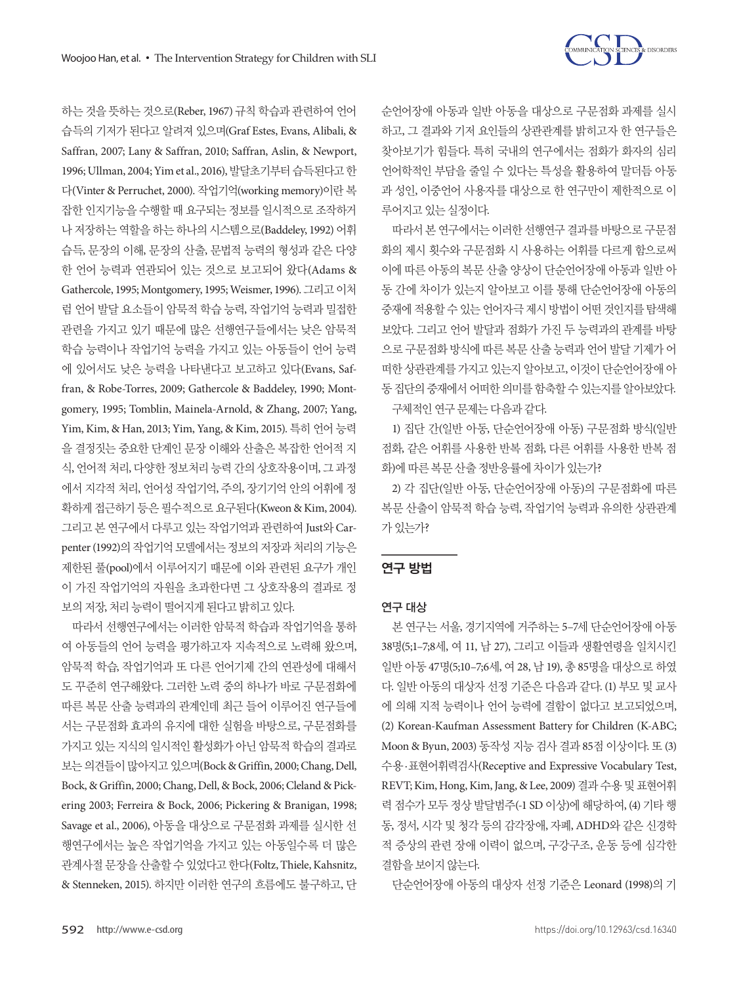

하는 것을 뜻하는 것으로(Reber, 1967) 규칙 학습과 관련하여 언어 습득의 기저가 된다고 알려져 있으며(Graf Estes, Evans, Alibali, & Saffran, 2007; Lany & Saffran, 2010; Saffran, Aslin, & Newport, 1996; Ullman, 2004; Yim et al., 2016), 발달초기부터습득된다고한 다(Vinter & Per ruchet, 2000). 작업기억(working memory)이란 복 잡한 인지기능을 수행할 때 요구되는 정보를 일시적으로 조작하거 나 저장하는 역할을 하는 하나의 시스템으로(Baddeley, 1992) 어휘 습득, 문장의 이해, 문장의 산출, 문법적 능력의 형성과 같은 다양 한 언어 능력과 연관되어 있는 것으로 보고되어 왔다(Adams & Gathercole, 1995; Montgomery, 1995; Weismer, 1996). 그리고이처 럼 언어 발달 요소들이 암묵적 학습 능력, 작업기억 능력과 밀접한 관련을 가지고 있기 때문에 많은 선행연구들에서는 낮은 암묵적 학습 능력이나 작업기억 능력을 가지고 있는 아동들이 언어 능력 에 있어서도 낮은 능력을 나타낸다고 보고하고 있다(Evans, Saffran, & Robe-Torres, 2009; Gathercole & Baddeley, 1990; Montgomery, 1995; Tomblin, Mainela-Arnold, & Zhang, 2007; Yang, Yim, Kim, & Han, 2013; Yim, Yang, & Kim, 2015). 특히 언어 능력 을 결정짓는 중요한 단계인 문장 이해와 산출은 복잡한 언어적 지 식, 언어적 처리, 다양한 정보처리 능력 간의 상호작용이며, 그 과정 에서 지각적 처리, 언어성 작업기억, 주의, 장기기억 안의 어휘에 정 확하게 접근하기 등은 필수적으로 요구된다(Kweon & Kim, 2004). 그리고 본 연구에서 다루고 있는 작업기억과 관련하여 Just와 Carpenter (1992)의 작업기억 모델에서는 정보의 저장과 처리의 기능은 제한된 풀(pool)에서 이루어지기 때문에 이와 관련된 요구가 개인 이 가진 작업기억의 자원을 초과한다면 그 상호작용의 결과로 정 보의 저장, 처리 능력이 떨어지게 된다고 밝히고 있다.

따라서 선행연구에서는 이러한 암묵적 학습과 작업기억을 통하 여 아동들의 언어 능력을 평가하고자 지속적으로 노력해 왔으며, 암묵적 학습, 작업기억과 또 다른 언어기제 간의 연관성에 대해서 도 꾸준히 연구해왔다. 그러한 노력 중의 하나가 바로 구문점화에 따른 복문 산출 능력과의 관계인데 최근 들어 이루어진 연구들에 서는 구문점화 효과의 유지에 대한 실험을 바탕으로, 구문점화를 가지고 있는 지식의 일시적인 활성화가 아닌 암묵적 학습의 결과로 보는의견들이많아지고있으며(Bock & Griffin, 2000; Chang, Dell, Bock, & Griffin, 2000; Chang, Dell, & Bock, 2006; Cleland & Pickering 2003; Ferreira & Bock, 2006; Pickering & Branigan, 1998; Savage et al., 2006), 아동을 대상으로 구문점화 과제를 실시한 선 행연구에서는 높은 작업기억을 가지고 있는 아동일수록 더 많은 관계사절 문장을 산출할 수 있었다고 한다(Foltz, Thiele, Kahsnitz, & Stenneken, 2015). 하지만 이러한 연구의 흐름에도 불구하고, 단 순언어장애 아동과 일반 아동을 대상으로 구문점화 과제를 실시 하고, 그 결과와 기저 요인들의 상관관계를 밝히고자 한 연구들은 찾아보기가 힘들다. 특히 국내의 연구에서는 점화가 화자의 심리 언어학적인 부담을 줄일 수 있다는 특성을 활용하여 말더듬 아동 과 성인, 이중언어 사용자를 대상으로 한 연구만이 제한적으로 이 루어지고있는실정이다.

따라서 본 연구에서는 이러한 선행연구 결과를 바탕으로 구문점 화의 제시 횟수와 구문점화 시 사용하는 어휘를 다르게 함으로써 이에 따른 아동의 복문 산출 양상이 단순언어장애 아동과 일반 아 동 간에 차이가 있는지 알아보고 이를 통해 단순언어장애 아동의 중재에적용할수있는언어자극제시방법이어떤것인지를탐색해 보았다. 그리고 언어 발달과 점화가 가진 두 능력과의 관계를 바탕 으로 구문점화 방식에 따른 복문 산출 능력과 언어 발달 기제가 어 떠한 상관관계를 가지고 있는지 알아보고, 이것이 단순언어장애 아 동 집단의 중재에서 어떠한 의미를 함축할 수 있는지를 알아보았다.

구체적인 연구 문제는 다음과 같다.

1) 집단 간(일반 아동, 단순언어장애 아동) 구문점화 방식(일반 점화, 같은 어휘를 사용한 반복 점화, 다른 어휘를 사용한 반복 점 화)에 따른 복문 산출 정반응률에 차이가 있는가?

2) 각 집단(일반 아동, 단순언어장애 아동)의 구문점화에 따른 복문 산출이 암묵적 학습 능력, 작업기억 능력과 유의한 상관관계 가있는가?

### 연구 방법

#### 연구 대상

본 연구는 서울, 경기지역에 거주하는 5–7세 단순언어장애 아동 38명(5;1–7;8세, 여 11, 남 27), 그리고 이들과 생활연령을 일치시킨 일반 아동 47명(5;10–7;6세, 여 28, 남 19), 총 85명을 대상으로 하였 다. 일반 아동의 대상자 선정 기준은 다음과 같다. (1) 부모 및 교사 에 의해 지적 능력이나 언어 능력에 결함이 없다고 보고되었으며, (2) Korean-Kaufman Assessment Battery for Children (K-ABC; Moon & Byun, 2003) 동작성 지능 검사 결과 85점 이상이다. 또 (3) 수용·표현어휘력검사(Receptive and Expressive Vocabulary Test, REVT; Kim, Hong, Kim, Jang, & Lee, 2009) 결과 수용 및 표현어휘 력 점수가 모두 정상 발달범주(-1 SD 이상)에 해당하여, (4) 기타 행 동, 정서, 시각 및 청각 등의 감각장애, 자폐, ADHD와 같은 신경학 적 증상의 관련 장애 이력이 없으며, 구강구조, 운동 등에 심각한 결함을보이지않는다.

단순언어장애 아동의 대상자 선정 기준은 Leonard (1998)의 기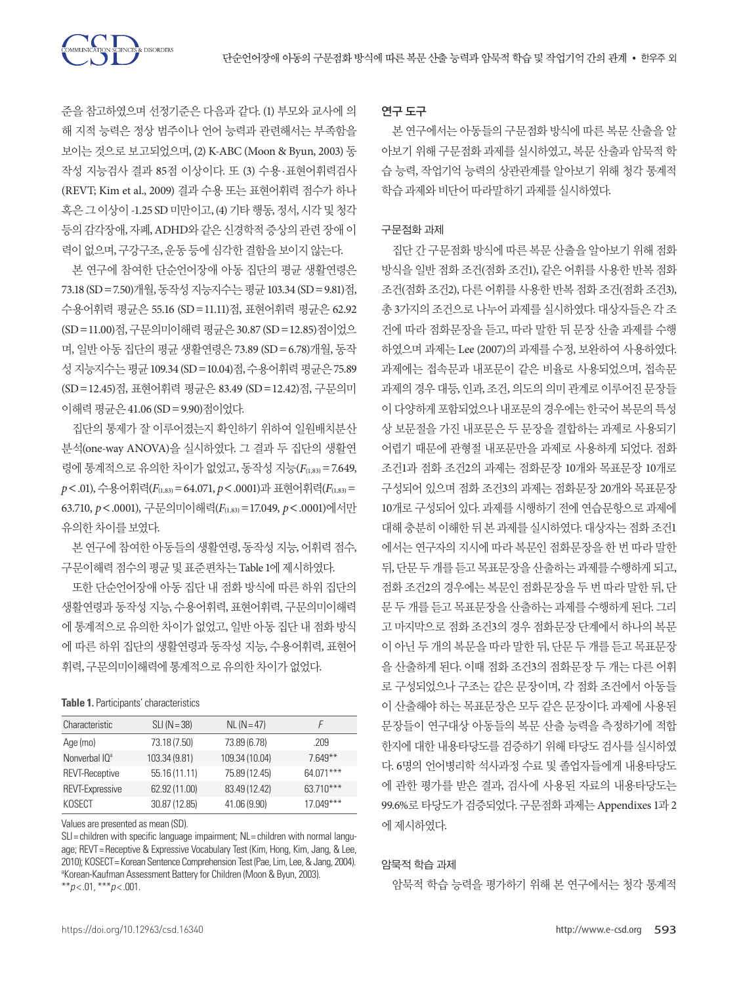준을 참고하였으며 선정기준은 다음과 같다. (1) 부모와 교사에 의 해 지적 능력은 정상 범주이나 언어 능력과 관련해서는 부족함을 보이는 것으로 보고되었으며, (2) K-ABC (Moon & Byun, 2003) 동 작성 지능검사 결과 85점 이상이다. 또 (3) 수용·표현어휘력검사 (REVT; Kim et al., 2009) 결과 수용 또는 표현어휘력 점수가 하나 혹은 그 이상이 -1.25 SD 미만이고, (4) 기타 행동, 정서, 시각 및 청각 등의 감각장애, 자폐, ADHD와 같은 신경학적 증상의 관련 장애 이 력이없으며, 구강구조, 운동등에심각한결함을보이지않는다.

**CIENCES & DISORDERS** 

본 연구에 참여한 단순언어장애 아동 집단의 평균 생활연령은 73.18 (SD=7.50)개월, 동작성 지능지수는 평균 103.34 (SD=9.81)점, 수용어휘력 평균은 55.16 (SD=11.11)점, 표현어휘력 평균은 62.92 (SD=11.00)점, 구문의미이해력 평균은 30.87 (SD=12.85)점이었으 며, 일반 아동 집단의 평균 생활연령은 73.89 (SD=6.78)개월, 동작 성 지능지수는 평균 109.34 (SD = 10.04)점, 수용어휘력 평균은 75.89 (SD=12.45)점, 표현어휘력 평균은 83.49 (SD=12.42)점, 구문의미 이해력평균은 41.06 (SD=9.90)점이었다.

집단의 통제가 잘 이루어졌는지 확인하기 위하여 일원배치분산 분석(one-way ANOVA)을 실시하였다. 그 결과 두 집단의 생활연 령에 통계적으로 유의한 차이가 없었고, 동작성 지능(F(1,83) = 7.649, *p*<.01), 수용어휘력(*F*(1,83)=64.071, *p*<.0001)과 표현어휘력(*F*(1,83)= 63.710, *p*<.0001), 구문의미이해력(*F*(1,83)=17.049, *p*<.0001)에서만 유의한차이를보였다.

본 연구에 참여한 아동들의 생활연령, 동작성 지능, 어휘력 점수, 구문이해력 점수의 평균 및 표준편차는 Table 1에 제시하였다.

또한 단순언어장애 아동 집단 내 점화 방식에 따른 하위 집단의 생활연령과 동작성 지능, 수용어휘력, 표현어휘력, 구문의미이해력 에 통계적으로 유의한 차이가 없었고, 일반 아동 집단 내 점화 방식 에 따른 하위 집단의 생활연령과 동작성 지능, 수용어휘력, 표현어 휘력, 구문의미이해력에통계적으로유의한차이가없었다.

#### **Table 1.** Participants' characteristics

| Characteristic            | $SLI(N=38)$   | $NL (N = 47)$  | F           |
|---------------------------|---------------|----------------|-------------|
| Age (mo)                  | 73.18 (7.50)  | 73.89 (6.78)   | .209        |
| Nonverbal IQ <sup>a</sup> | 103.34 (9.81) | 109.34 (10.04) | $7.649**$   |
| <b>REVT-Receptive</b>     | 55.16 (11.11) | 75.89 (12.45)  | 64.071***   |
| <b>REVT-Expressive</b>    | 62.92 (11.00) | 83.49 (12.42)  | $63.710***$ |
| KOSECT                    | 30.87 (12.85) | 41.06 (9.90)   | $17.049***$ |
|                           |               |                |             |

Values are presented as mean (SD).

SLI= children with specific language impairment; NL= children with normal language; REVT= Receptive & Expressive Vocabulary Test (Kim, Hong, Kim, Jang, & Lee, 2010); KOSECT= Korean Sentence Comprehension Test (Pae, Lim, Lee, & Jang, 2004). a Korean-Kaufman Assessment Battery for Children (Moon & Byun, 2003). \*\**p* < .01, \*\*\**p* < .001.

### 연구 도구

본 연구에서는 아동들의 구문점화 방식에 따른 복문 산출을 알 아보기 위해 구문점화 과제를 실시하였고, 복문 산출과 암묵적 학 습 능력, 작업기억 능력의 상관관계를 알아보기 위해 청각 통계적 학습과제와비단어따라말하기과제를실시하였다.

#### 구문점화 과제

집단 간 구문점화 방식에 따른 복문 산출을 알아보기 위해 점화 방식을 일반 점화 조건(점화 조건1), 같은 어휘를 사용한 반복 점화 조건(점화 조건2), 다른 어휘를 사용한 반복 점화 조건(점화 조건3), 총 3가지의 조건으로 나누어 과제를 실시하였다. 대상자들은 각 조 건에 따라 점화문장을 듣고, 따라 말한 뒤 문장 산출 과제를 수행 하였으며 과제는 Lee (2007)의 과제를 수정, 보완하여 사용하였다. 과제에는 접속문과 내포문이 같은 비율로 사용되었으며, 접속문 과제의 경우 대등, 인과, 조건, 의도의 의미 관계로 이루어진 문장들 이다양하게포함되었으나내포문의경우에는한국어복문의특성 상 보문절을 가진 내포문은 두 문장을 결합하는 과제로 사용되기 어렵기 때문에 관형절 내포문만을 과제로 사용하게 되었다. 점화 조건1과 점화 조건2의 과제는 점화문장 10개와 목표문장 10개로 구성되어 있으며 점화 조건3의 과제는 점화문장 20개와 목표문장 10개로 구성되어 있다. 과제를 시행하기 전에 연습문항으로 과제에 대해 충분히 이해한 뒤 본 과제를 실시하였다. 대상자는 점화 조건1 에서는 연구자의 지시에 따라 복문인 점화문장을 한 번 따라 말한 뒤, 단문 두 개를 듣고 목표문장을 산출하는 과제를 수행하게 되고, 점화 조건2의 경우에는 복문인 점화문장을 두 번 따라 말한 뒤, 단 문 두 개를 듣고 목표문장을 산출하는 과제를 수행하게 된다. 그리 고 마지막으로 점화 조건3의 경우 점화문장 단계에서 하나의 복문 이 아닌 두 개의 복문을 따라 말한 뒤, 단문 두 개를 듣고 목표문장 을 산출하게 된다. 이때 점화 조건3의 점화문장 두 개는 다른 어휘 로 구성되었으나 구조는 같은 문장이며, 각 점화 조건에서 아동들 이 산출해야 하는 목표문장은 모두 같은 문장이다. 과제에 사용된 문장들이 연구대상 아동들의 복문 산출 능력을 측정하기에 적합 한지에 대한 내용타당도를 검증하기 위해 타당도 검사를 실시하였 다. 6명의 언어병리학 석사과정 수료 및 졸업자들에게 내용타당도 에 관한 평가를 받은 결과, 검사에 사용된 자료의 내용타당도는 99.6%로 타당도가 검증되었다. 구문점화 과제는 Appendixes 1과 2 에제시하였다.

### 암묵적 학습 과제

암묵적 학습 능력을 평가하기 위해 본 연구에서는 청각 통계적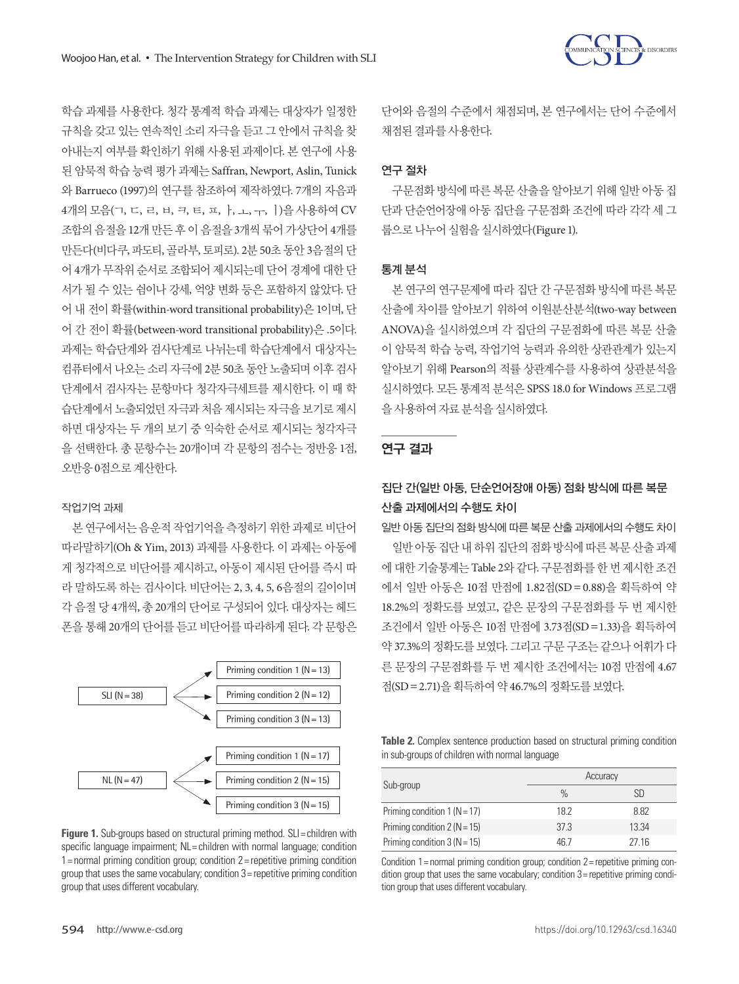

학습 과제를 사용한다. 청각 통계적 학습 과제는 대상자가 일정한 규칙을 갖고 있는 연속적인 소리 자극을 듣고 그 안에서 규칙을 찾 아내는지 여부를 확인하기 위해 사용된 과제이다. 본 연구에 사용 된 암묵적 학습 능력 평가 과제는 Saffran, Newport, Aslin, Tunick 와 Barrueco (1997)의 연구를 참조하여 제작하였다. 7개의 자음과 4개의 모음(ㄱ, ㄷ, ㄹ, ㅂ, ㅋ, ㅌ, ㅍ, ㅏ, ㅗ, ㅜ, ㅣ)을 사용하여 CV 조합의 음절을 12개 만든 후 이 음절을 3개씩 묶어 가상단어 4개를 만든다(비다쿠, 파도티, 골라부, 토피로). 2분 50초 동안 3음절의 단 어 4개가 무작위 순서로 조합되어 제시되는데 단어 경계에 대한 단 서가 될 수 있는 쉼이나 강세, 억양 변화 등은 포함하지 않았다. 단 어 내 전이 확률(within-word transitional probability)은 1이며, 단 어 간 전이 확률(between-word transitional probability)은 .5이다. 과제는 학습단계와 검사단계로 나뉘는데 학습단계에서 대상자는 컴퓨터에서 나오는 소리 자극에 2분 50초 동안 노출되며 이후 검사 단계에서 검사자는 문항마다 청각자극세트를 제시한다. 이 때 학 습단계에서 노출되었던 자극과 처음 제시되는 자극을 보기로 제시 하면 대상자는 두 개의 보기 중 익숙한 순서로 제시되는 청각자극 을 선택한다. 총 문항수는 20개이며 각 문항의 점수는 정반응 1점, 오반응 0점으로계산한다.

#### 작업기억 과제

본 연구에서는 음운적 작업기억을 측정하기 위한 과제로 비단어 따라말하기(Oh & Yim, 2013) 과제를 사용한다. 이 과제는 아동에 게 청각적으로 비단어를 제시하고, 아동이 제시된 단어를 즉시 따 라 말하도록 하는 검사이다. 비단어는 2, 3, 4, 5, 6음절의 길이이며 각 음절 당 4개씩, 총 20개의 단어로 구성되어 있다. 대상자는 헤드 폰을 통해 20개의 단어를 듣고 비단어를 따라하게 된다. 각 문항은



**Figure 1.** Sub-groups based on structural priming method. SLI= children with specific language impairment; NL= children with normal language; condition 1= normal priming condition group; condition 2= repetitive priming condition group that uses the same vocabulary; condition 3= repetitive priming condition group that uses different vocabulary.

단어와 음절의 수준에서 채점되며, 본 연구에서는 단어 수준에서 채점된결과를사용한다.

### 연구 절차

구문점화 방식에 따른 복문 산출을 알아보기 위해 일반 아동 집 단과 단순언어장애 아동 집단을 구문점화 조건에 따라 각각 세 그 룹으로나누어실험을실시하였다(Figure 1).

#### 통계 분석

본 연구의 연구문제에 따라 집단 간 구문점화 방식에 따른 복문 산출에 차이를 알아보기 위하여 이원분산분석(two-way between ANOVA)을 실시하였으며 각 집단의 구문점화에 따른 복문 산출 이 암묵적 학습 능력, 작업기억 능력과 유의한 상관관계가 있는지 알아보기 위해 Pearson의 적률 상관계수를 사용하여 상관분석을 실시하였다. 모든 통계적 분석은 SPSS 18.0 for Windows 프로그램 을사용하여자료분석을실시하였다.

### 연구 결과

## 집단 간(일반 아동, 단순언어장애 아동) 점화 방식에 따른 복문 산출 과제에서의 수행도 차이

일반 아동 집단의 점화 방식에 따른 복문 산출 과제에서의 수행도 차이

일반 아동 집단 내 하위 집단의 점화 방식에 따른 복문 산출 과제 에 대한 기술통계는 Table 2와 같다. 구문점화를 한 번 제시한 조건 에서 일반 아동은 10점 만점에 1.82점(SD= 0.88)을 획득하여 약 18.2%의 정확도를 보였고, 같은 문장의 구문점화를 두 번 제시한 조건에서 일반 아동은 10점 만점에 3.73점(SD=1.33)을 획득하여 약 37.3%의 정확도를 보였다. 그리고 구문 구조는 같으나 어휘가 다 른 문장의 구문점화를 두 번 제시한 조건에서는 10점 만점에 4.67 점(SD = 2.71)을 획득하여 약 46.7%의 정확도를 보였다.

**Table 2.** Complex sentence production based on structural priming condition in sub-groups of children with normal language

|                                | Accuracy |       |  |
|--------------------------------|----------|-------|--|
| Sub-group                      | $\%$     | SD    |  |
| Priming condition $1(N = 17)$  | 18.2     | 8.82  |  |
| Priming condition $2 (N = 15)$ | 37.3     | 13.34 |  |
| Priming condition $3 (N = 15)$ | 46 7     | 27 16 |  |

Condition 1= normal priming condition group; condition 2= repetitive priming condition group that uses the same vocabulary; condition 3= repetitive priming condition group that uses different vocabulary.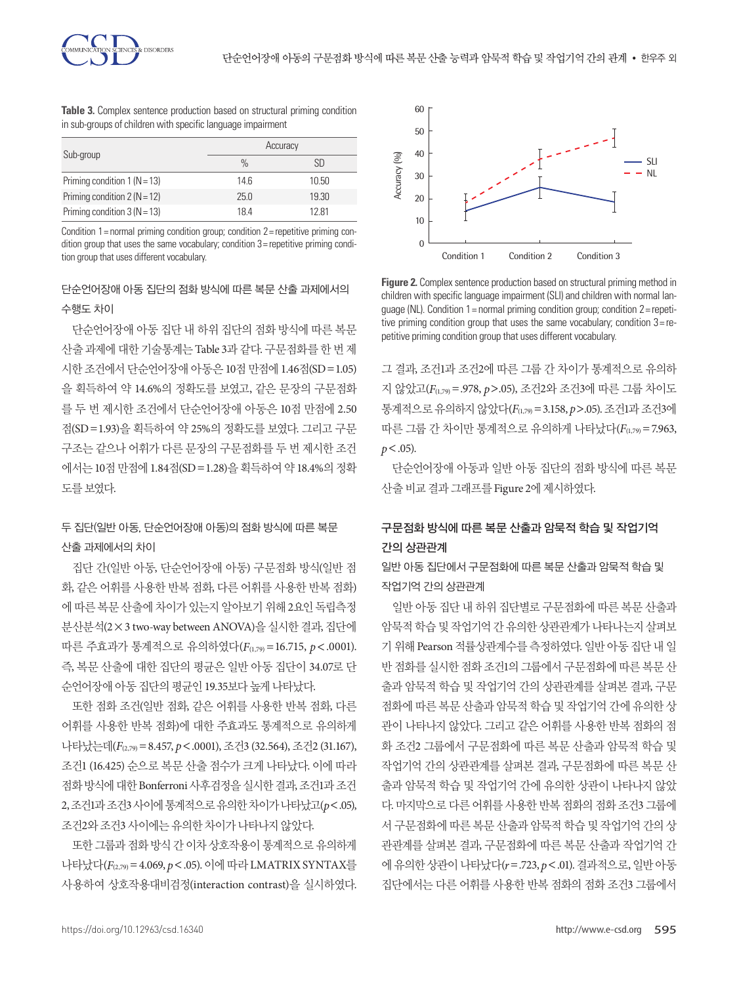**Table 3.** Complex sentence production based on structural priming condition in sub-groups of children with specific language impairment

|                                | Accuracy      |       |
|--------------------------------|---------------|-------|
| Sub-group                      | $\frac{0}{0}$ | SD    |
| Priming condition $1 (N = 13)$ | 146           | 10.50 |
| Priming condition $2 (N = 12)$ | 25.0          | 19.30 |
| Priming condition $3(N = 13)$  | 184           | 1281  |

Condition 1= normal priming condition group; condition 2= repetitive priming condition group that uses the same vocabulary; condition 3= repetitive priming condition group that uses different vocabulary.

### 단순언어장애 아동 집단의 점화 방식에 따른 복문 산출 과제에서의 수행도 차이

단순언어장애 아동 집단 내 하위 집단의 점화 방식에 따른 복문 산출 과제에 대한 기술통계는 Table 3과 같다. 구문점화를 한 번 제 시한 조건에서 단순언어장애 아동은 10점 만점에 1.46점(SD=1.05) 을 획득하여 약 14.6%의 정확도를 보였고, 같은 문장의 구문점화 를 두 번 제시한 조건에서 단순언어장애 아동은 10점 만점에 2.50 점(SD=1.93)을 획득하여 약 25%의 정확도를 보였다. 그리고 구문 구조는 같으나 어휘가 다른 문장의 구문점화를 두 번 제시한 조건 에서는 10점 만점에 1.84점(SD=1.28)을 획득하여 약 18.4%의 정확 도를보였다.

### 두 집단(일반 아동, 단순언어장애 아동)의 점화 방식에 따른 복문 산출 과제에서의 차이

집단 간(일반 아동, 단순언어장애 아동) 구문점화 방식(일반 점 화, 같은 어휘를 사용한 반복 점화, 다른 어휘를 사용한 반복 점화) 에 따른 복문 산출에 차이가 있는지 알아보기 위해 2요인 독립측정 분산분석(2×3 two-way between ANOVA)을 실시한 결과, 집단에 따른 주효과가 통계적으로 유의하였다(*F*(1,79) =16.715, *p*<.0001). 즉, 복문 산출에 대한 집단의 평균은 일반 아동 집단이 34.07로 단 순언어장애아동집단의평균인 19.35보다높게나타났다.

또한 점화 조건(일반 점화, 같은 어휘를 사용한 반복 점화, 다른 어휘를 사용한 반복 점화)에 대한 주효과도 통계적으로 유의하게 나타났는데(*F*(2,79)=8.457, *p*<.0001), 조건3 (32.564), 조건2 (31.167), 조건1 (16.425) 순으로 복문 산출 점수가 크게 나타났다. 이에 따라 점화방식에대한 Bonferroni 사후검정을실시한결과, 조건1과조건 2, 조건1과조건3 사이에통계적으로유의한차이가나타났고(*p*<.05), 조건2와조건3 사이에는유의한차이가나타나지않았다.

또한 그룹과 점화 방식 간 이차 상호작용이 통계적으로 유의하게 나타났다(*F*(2,79)=4.069, *p*<.05). 이에 따라 LMATRIX SYNTAX를 사용하여 상호작용대비검정(interaction contrast)을 실시하였다.



**Figure 2.** Complex sentence production based on structural priming method in children with specific language impairment (SLI) and children with normal lanquage (NL). Condition 1 = normal priming condition group; condition  $2$  = repetitive priming condition group that uses the same vocabulary; condition 3= repetitive priming condition group that uses different vocabulary.

그 결과, 조건1과 조건2에 따른 그룹 간 차이가 통계적으로 유의하 지 않았고(*F*(1,79)=.978, *p*>.05), 조건2와 조건3에 따른 그룹 차이도 통계적으로유의하지않았다(*F*(1,79)=3.158, *p*>.05). 조건1과조건3에 따른 그룹 간 차이만 통계적으로 유의하게 나타났다(*F*(1,79)=7.963,  $p < .05$ ).

단순언어장애 아동과 일반 아동 집단의 점화 방식에 따른 복문 산출비교결과그래프를 Figure 2에제시하였다.

### 구문점화 방식에 따른 복문 산출과 암묵적 학습 및 작업기억 간의 상관관계

일반 아동 집단에서 구문점화에 따른 복문 산출과 암묵적 학습 및 작업기억 간의 상관관계

일반 아동 집단 내 하위 집단별로 구문점화에 따른 복문 산출과 암묵적 학습 및 작업기억 간 유의한 상관관계가 나타나는지 살펴보 기 위해 Pearson 적률상관계수를 측정하였다. 일반 아동 집단 내 일 반 점화를 실시한 점화 조건1의 그룹에서 구문점화에 따른 복문 산 출과 암묵적 학습 및 작업기억 간의 상관관계를 살펴본 결과, 구문 점화에 따른 복문 산출과 암묵적 학습 및 작업기억 간에 유의한 상 관이 나타나지 않았다. 그리고 같은 어휘를 사용한 반복 점화의 점 화 조건2 그룹에서 구문점화에 따른 복문 산출과 암묵적 학습 및 작업기억 간의 상관관계를 살펴본 결과, 구문점화에 따른 복문 산 출과 암묵적 학습 및 작업기억 간에 유의한 상관이 나타나지 않았 다. 마지막으로 다른 어휘를 사용한 반복 점화의 점화 조건3 그룹에 서 구문점화에 따른 복문 산출과 암묵적 학습 및 작업기억 간의 상 관관계를 살펴본 결과, 구문점화에 따른 복문 산출과 작업기억 간 에유의한상관이나타났다(*r*=.723, *p*<.01). 결과적으로, 일반아동 집단에서는 다른 어휘를 사용한 반복 점화의 점화 조건3 그룹에서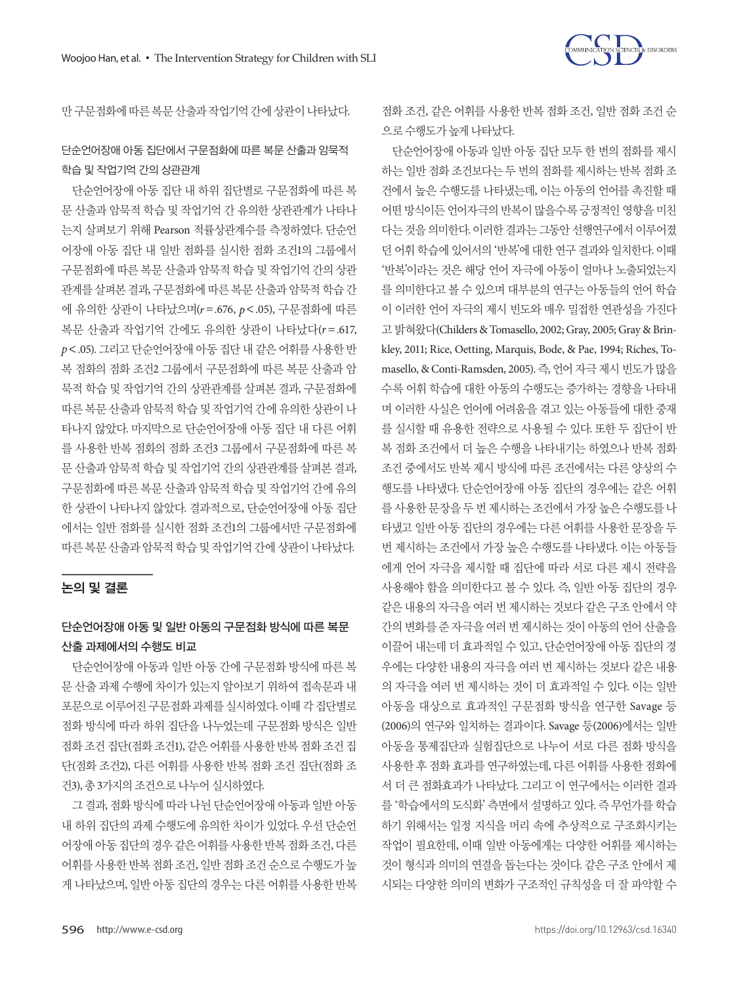

만구문점화에따른복문산출과작업기억간에상관이나타났다.

### 단순언어장애 아동 집단에서 구문점화에 따른 복문 산출과 암묵적 학습 및 작업기억 간의 상관관계

단순언어장애 아동 집단 내 하위 집단별로 구문점화에 따른 복 문 산출과 암묵적 학습 및 작업기억 간 유의한 상관관계가 나타나 는지 살펴보기 위해 Pearson 적률상관계수를 측정하였다. 단순언 어장애 아동 집단 내 일반 점화를 실시한 점화 조건1의 그룹에서 구문점화에 따른 복문 산출과 암묵적 학습 및 작업기억 간의 상관 관계를 살펴본 결과, 구문점화에 따른 복문 산출과 암묵적 학습 간 에 유의한 상관이 나타났으며(*r* =.676, *p*<.05), 구문점화에 따른 복문 산출과 작업기억 간에도 유의한 상관이 나타났다(*r* =.617, *p*<.05). 그리고 단순언어장애 아동 집단 내 같은 어휘를 사용한 반 복 점화의 점화 조건2 그룹에서 구문점화에 따른 복문 산출과 암 묵적 학습 및 작업기억 간의 상관관계를 살펴본 결과, 구문점화에 따른 복문 산출과 암묵적 학습 및 작업기억 간에 유의한 상관이 나 타나지 않았다. 마지막으로 단순언어장애 아동 집단 내 다른 어휘 를 사용한 반복 점화의 점화 조건3 그룹에서 구문점화에 따른 복 문 산출과 암묵적 학습 및 작업기억 간의 상관관계를 살펴본 결과, 구문점화에 따른 복문 산출과 암묵적 학습 및 작업기억 간에 유의 한 상관이 나타나지 않았다. 결과적으로, 단순언어장애 아동 집단 에서는 일반 점화를 실시한 점화 조건1의 그룹에서만 구문점화에 따른복문산출과암묵적학습및작업기억간에상관이나타났다.

### 논의 및 결론

### 단순언어장애 아동 및 일반 아동의 구문점화 방식에 따른 복문 산출 과제에서의 수행도 비교

단순언어장애 아동과 일반 아동 간에 구문점화 방식에 따른 복 문 산출 과제 수행에 차이가 있는지 알아보기 위하여 접속문과 내 포문으로이루어진 구문점화 과제를 실시하였다. 이때 각 집단별로 점화 방식에 따라 하위 집단을 나누었는데 구문점화 방식은 일반 점화 조건 집단(점화 조건1), 같은 어휘를 사용한 반복 점화 조건 집 단(점화 조건2), 다른 어휘를 사용한 반복 점화 조건 집단(점화 조 건3), 총 3가지의조건으로나누어실시하였다.

그 결과, 점화 방식에 따라 나뉜 단순언어장애 아동과 일반 아동 내 하위 집단의 과제 수행도에 유의한 차이가 있었다. 우선 단순언 어장애 아동 집단의 경우 같은 어휘를 사용한 반복 점화 조건, 다른 어휘를 사용한 반복 점화 조건, 일반 점화 조건 순으로 수행도가 높 게 나타났으며, 일반 아동 집단의 경우는 다른 어휘를 사용한 반복 점화 조건, 같은 어휘를 사용한 반복 점화 조건, 일반 점화 조건 순 으로수행도가높게나타났다.

단순언어장애 아동과 일반 아동 집단 모두 한 번의 점화를 제시 하는 일반 점화 조건보다는 두 번의 점화를 제시하는 반복 점화 조 건에서 높은 수행도를 나타냈는데, 이는 아동의 언어를 촉진할 때 어떤 방식이든 언어자극의 반복이 많을수록 긍정적인 영향을 미친 다는 것을 의미한다. 이러한 결과는 그동안 선행연구에서 이루어졌 던 어휘 학습에 있어서의 '반복'에 대한 연구 결과와 일치한다. 이때 '반복'이라는 것은 해당 언어 자극에 아동이 얼마나 노출되었는지 를 의미한다고 볼 수 있으며 대부분의 연구는 아동들의 언어 학습 이 이러한 언어 자극의 제시 빈도와 매우 밀접한 연관성을 가진다 고 밝혀왔다(Childers & Tomasello, 2002; Gray, 2005; Gray & Brinkley, 2011; Rice, Oetting, Marquis, Bode, & Pae, 1994; Riches, Tomasello, & Conti-Ramsden, 2005). 즉, 언어 자극 제시 빈도가 많을 수록 어휘 학습에 대한 아동의 수행도는 증가하는 경향을 나타내 며 이러한 사실은 언어에 어려움을 겪고 있는 아동들에 대한 중재 를 실시할 때 유용한 전략으로 사용될 수 있다. 또한 두 집단이 반 복 점화 조건에서 더 높은 수행을 나타내기는 하였으나 반복 점화 조건 중에서도 반복 제시 방식에 따른 조건에서는 다른 양상의 수 행도를 나타냈다. 단순언어장애 아동 집단의 경우에는 같은 어휘 를 사용한 문장을 두 번 제시하는 조건에서 가장 높은 수행도를 나 타냈고 일반 아동 집단의 경우에는 다른 어휘를 사용한 문장을 두 번 제시하는 조건에서 가장 높은 수행도를 나타냈다. 이는 아동들 에게 언어 자극을 제시할 때 집단에 따라 서로 다른 제시 전략을 사용해야 함을 의미한다고 볼 수 있다. 즉, 일반 아동 집단의 경우 같은 내용의 자극을 여러 번 제시하는 것보다 같은 구조 안에서 약 간의 변화를 준 자극을 여러 번 제시하는 것이 아동의 언어 산출을 이끌어 내는데 더 효과적일 수 있고, 단순언어장애 아동 집단의 경 우에는 다양한 내용의 자극을 여러 번 제시하는 것보다 같은 내용 의 자극을 여러 번 제시하는 것이 더 효과적일 수 있다. 이는 일반 아동을 대상으로 효과적인 구문점화 방식을 연구한 Savage 등 (2006)의 연구와 일치하는 결과이다. Savage 등(2006)에서는 일반 아동을 통제집단과 실험집단으로 나누어 서로 다른 점화 방식을 사용한 후 점화 효과를 연구하였는데, 다른 어휘를 사용한 점화에 서 더 큰 점화효과가 나타났다. 그리고 이 연구에서는 이러한 결과 를 '학습에서의 도식화' 측면에서 설명하고 있다. 즉 무언가를 학습 하기 위해서는 일정 지식을 머리 속에 추상적으로 구조화시키는 작업이 필요한데, 이때 일반 아동에게는 다양한 어휘를 제시하는 것이 형식과 의미의 연결을 돕는다는 것이다. 같은 구조 안에서 제 시되는 다양한 의미의 변화가 구조적인 규칙성을 더 잘 파악할 수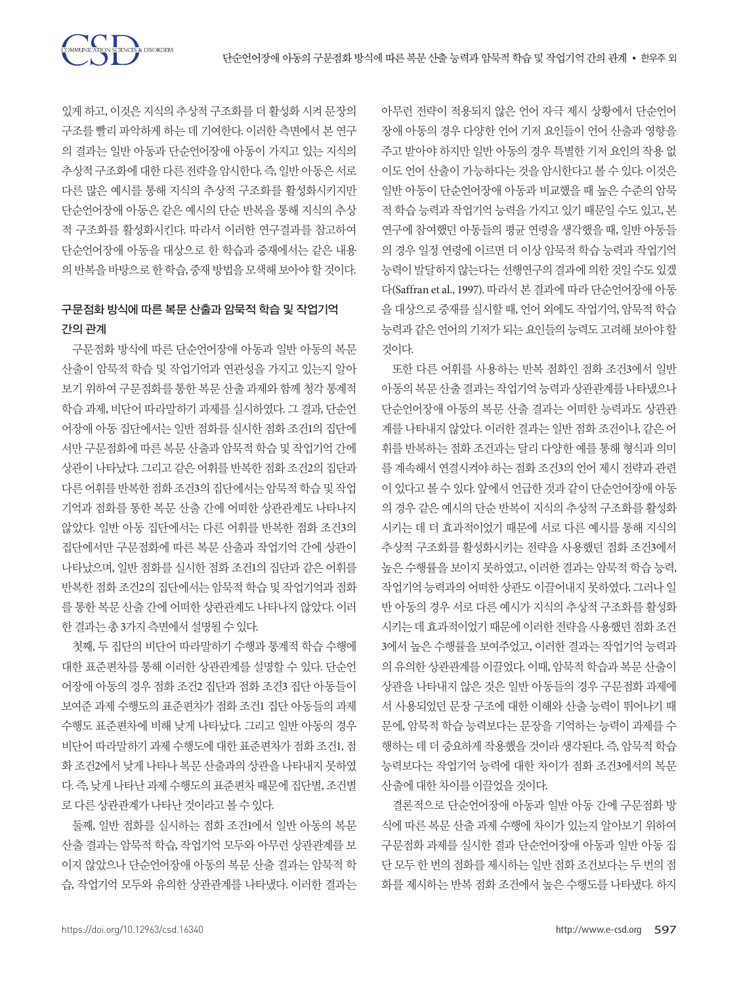COMMUNICATION SCIENCES & DISORDERS

있게 하고, 이것은 지식의 추상적 구조화를 더 활성화 시켜 문장의 구조를 빨리 파악하게 하는 데 기여한다. 이러한 측면에서 본 연구 의 결과는 일반 아동과 단순언어장애 아동이 가지고 있는 지식의 추상적 구조화에 대한 다른 전략을 암시한다. 즉, 일반 아동은 서로 다른 많은 예시를 통해 지식의 추상적 구조화를 활성화시키지만 단순언어장애 아동은 같은 예시의 단순 반복을 통해 지식의 추상 적 구조화를 활성화시킨다. 따라서 이러한 연구결과를 참고하여 단순언어장애 아동을 대상으로 한 학습과 중재에서는 같은 내용 의반복을바탕으로한학습, 중재방법을모색해보아야할것이다.

### 구문점화 방식에 따른 복문 산출과 암묵적 학습 및 작업기억 간의 관계

구문점화 방식에 따른 단순언어장애 아동과 일반 아동의 복문 산출이 암묵적 학습 및 작업기억과 연관성을 가지고 있는지 알아 보기 위하여 구문점화를 통한 복문 산출 과제와 함께 청각 통계적 학습 과제, 비단어 따라말하기 과제를 실시하였다. 그 결과, 단순언 어장애 아동 집단에서는 일반 점화를 실시한 점화 조건1의 집단에 서만 구문점화에 따른 복문 산출과 암묵적 학습 및 작업기억 간에 상관이 나타났다. 그리고 같은 어휘를 반복한 점화 조건2의 집단과 다른 어휘를 반복한 점화 조건3의 집단에서는 암묵적 학습 및 작업 기억과 점화를 통한 복문 산출 간에 어떠한 상관관계도 나타나지 않았다. 일반 아동 집단에서는 다른 어휘를 반복한 점화 조건3의 집단에서만 구문점화에 따른 복문 산출과 작업기억 간에 상관이 나타났으며, 일반 점화를 실시한 점화 조건1의 집단과 같은 어휘를 반복한 점화 조건2의 집단에서는 암묵적 학습 및 작업기억과 점화 를 통한 복문 산출 간에 어떠한 상관관계도 나타나지 않았다. 이러 한결과는총 3가지측면에서설명될수있다.

첫째, 두 집단의 비단어 따라말하기 수행과 통계적 학습 수행에 대한 표준편차를 통해 이러한 상관관계를 설명할 수 있다. 단순언 어장애 아동의 경우 점화 조건2 집단과 점화 조건3 집단 아동들이 보여준 과제 수행도의 표준편차가 점화 조건1 집단 아동들의 과제 수행도 표준편차에 비해 낮게 나타났다. 그리고 일반 아동의 경우 비단어 따라말하기 과제 수행도에 대한 표준편차가 점화 조건1, 점 화 조건2에서 낮게 나타나 복문 산출과의 상관을 나타내지 못하였 다. 즉, 낮게 나타난 과제 수행도의 표준편차 때문에 집단별, 조건별 로다른상관관계가나타난것이라고볼수있다.

둘째, 일반 점화를 실시하는 점화 조건1에서 일반 아동의 복문 산출 결과는 암묵적 학습, 작업기억 모두와 아무런 상관관계를 보 이지 않았으나 단순언어장애 아동의 복문 산출 결과는 암묵적 학 습, 작업기억 모두와 유의한 상관관계를 나타냈다. 이러한 결과는

아무런 전략이 적용되지 않은 언어 자극 제시 상황에서 단순언어 장애 아동의 경우 다양한 언어 기저 요인들이 언어 산출과 영향을 주고 받아야 하지만 일반 아동의 경우 특별한 기저 요인의 작용 없 이도 언어 산출이 가능하다는 것을 암시한다고 볼 수 있다. 이것은 일반 아동이 단순언어장애 아동과 비교했을 때 높은 수준의 암묵 적 학습 능력과 작업기억 능력을 가지고 있기 때문일 수도 있고, 본 연구에 참여했던 아동들의 평균 연령을 생각했을 때, 일반 아동들 의 경우 일정 연령에 이르면 더 이상 암묵적 학습 능력과 작업기억 능력이 발달하지 않는다는 선행연구의 결과에 의한 것일 수도 있겠 다(Saffran et al., 1997). 따라서 본 결과에 따라 단순언어장애 아동 을 대상으로 중재를 실시할 때, 언어 외에도 작업기억, 암묵적 학습 능력과 같은 언어의 기저가 되는 요인들의 능력도 고려해 보아야 할 것이다.

또한 다른 어휘를 사용하는 반복 점화인 점화 조건3에서 일반 아동의 복문 산출 결과는 작업기억 능력과 상관관계를 나타냈으나 단순언어장애 아동의 복문 산출 결과는 어떠한 능력과도 상관관 계를 나타내지 않았다. 이러한 결과는 일반 점화 조건이나, 같은 어 휘를 반복하는 점화 조건과는 달리 다양한 예를 통해 형식과 의미 를 계속해서 연결시켜야 하는 점화 조건3의 언어 제시 전략과 관련 이 있다고 볼 수 있다. 앞에서 언급한 것과 같이 단순언어장애 아동 의 경우 같은 예시의 단순 반복이 지식의 추상적 구조화를 활성화 시키는 데 더 효과적이었기 때문에 서로 다른 예시를 통해 지식의 추상적 구조화를 활성화시키는 전략을 사용했던 점화 조건3에서 높은 수행률을 보이지 못하였고, 이러한 결과는 암묵적 학습 능력, 작업기억 능력과의 어떠한 상관도 이끌어내지 못하였다. 그러나 일 반 아동의 경우 서로 다른 예시가 지식의 추상적 구조화를 활성화 시키는 데 효과적이었기 때문에 이러한 전략을 사용했던 점화 조건 3에서 높은 수행률을 보여주었고, 이러한 결과는 작업기억 능력과 의 유의한 상관관계를 이끌었다. 이때, 암묵적 학습과 복문 산출이 상관을 나타내지 않은 것은 일반 아동들의 경우 구문점화 과제에 서 사용되었던 문장 구조에 대한 이해와 산출 능력이 뛰어나기 때 문에, 암묵적 학습 능력보다는 문장을 기억하는 능력이 과제를 수 행하는 데 더 중요하게 작용했을 것이라 생각된다. 즉, 암묵적 학습 능력보다는 작업기억 능력에 대한 차이가 점화 조건3에서의 복문 산출에대한차이를이끌었을것이다.

결론적으로 단순언어장애 아동과 일반 아동 간에 구문점화 방 식에 따른 복문 산출 과제 수행에 차이가 있는지 알아보기 위하여 구문점화 과제를 실시한 결과 단순언어장애 아동과 일반 아동 집 단 모두 한 번의 점화를 제시하는 일반 점화 조건보다는 두 번의 점 화를 제시하는 반복 점화 조건에서 높은 수행도를 나타냈다. 하지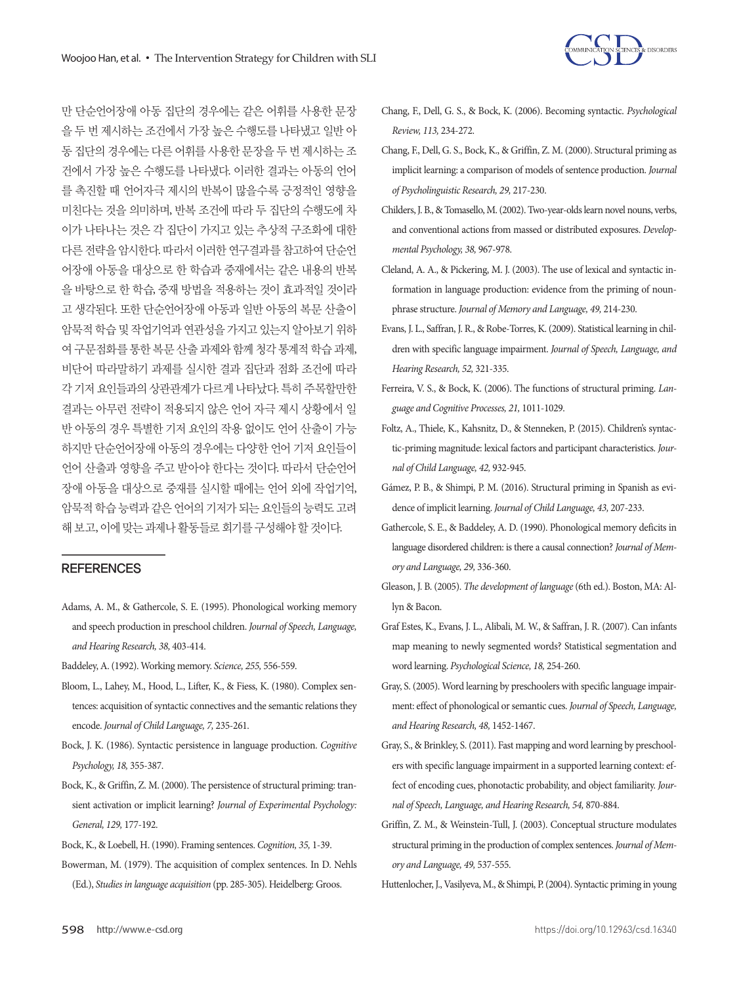

만 단순언어장애 아동 집단의 경우에는 같은 어휘를 사용한 문장 을 두 번 제시하는 조건에서 가장 높은 수행도를 나타냈고 일반 아 동 집단의 경우에는 다른 어휘를 사용한 문장을 두 번 제시하는 조 건에서 가장 높은 수행도를 나타냈다. 이러한 결과는 아동의 언어 를 촉진할 때 언어자극 제시의 반복이 많을수록 긍정적인 영향을 미친다는 것을 의미하며, 반복 조건에 따라 두 집단의 수행도에 차 이가 나타나는 것은 각 집단이 가지고 있는 추상적 구조화에 대한 다른 전략을 암시한다. 따라서 이러한 연구결과를 참고하여 단순언 어장애 아동을 대상으로 한 학습과 중재에서는 같은 내용의 반복 을 바탕으로 한 학습, 중재 방법을 적용하는 것이 효과적일 것이라 고 생각된다. 또한 단순언어장애 아동과 일반 아동의 복문 산출이 암묵적학습및작업기억과연관성을가지고있는지알아보기위하 여 구문점화를 통한 복문 산출 과제와 함께 청각 통계적 학습 과제, 비단어 따라말하기 과제를 실시한 결과 집단과 점화 조건에 따라 각 기저 요인들과의 상관관계가 다르게 나타났다. 특히 주목할만한 결과는 아무런 전략이 적용되지 않은 언어 자극 제시 상황에서 일 반 아동의 경우 특별한 기저 요인의 작용 없이도 언어 산출이 가능 하지만 단순언어장애 아동의 경우에는 다양한 언어 기저 요인들이 언어 산출과 영향을 주고 받아야 한다는 것이다. 따라서 단순언어 장애 아동을 대상으로 중재를 실시할 때에는 언어 외에 작업기억, 암묵적학습능력과같은언어의기저가되는요인들의능력도고려 해보고, 이에맞는과제나활동들로회기를구성해야할것이다.

### **REFERENCES**

- Adams, A. M., & Gathercole, S. E. (1995). Phonological working memory and speech production in preschool children. *Journal of Speech, Language, and Hearing Research, 38,* 403-414.
- Baddeley, A. (1992). Working memory. *Science, 255,* 556-559.
- Bloom, L., Lahey, M., Hood, L., Lifter, K., & Fiess, K. (1980). Complex sentences: acquisition of syntactic connectives and the semantic relations they encode. *Journal of Child Language, 7,* 235-261.
- Bock, J. K. (1986). Syntactic persistence in language production. *Cognitive Psychology, 18,* 355-387.
- Bock, K., & Griffin, Z. M. (2000). The persistence of structural priming: transient activation or implicit learning? *Journal of Experimental Psychology: General, 129,* 177-192.
- Bock, K., & Loebell, H. (1990). Framing sentences. *Cognition, 35,* 1-39.
- Bowerman, M. (1979). The acquisition of complex sentences. In D. Nehls (Ed.), *Studies in language acquisition* (pp. 285-305). Heidelberg: Groos.
- Chang, F., Dell, G. S., & Bock, K. (2006). Becoming syntactic. *Psychological Review, 113,* 234-272.
- Chang, F., Dell, G. S., Bock, K., & Griffin, Z. M. (2000). Structural priming as implicit learning: a comparison of models of sentence production. *Journal of Psycholinguistic Research, 29,* 217-230.
- Childers, J. B., & Tomasello, M. (2002). Two-year-olds learn novel nouns, verbs, and conventional actions from massed or distributed exposures. *Developmental Psychology, 38,* 967-978.
- Cleland, A. A., & Pickering, M. J. (2003). The use of lexical and syntactic information in language production: evidence from the priming of nounphrase structure. *Journal of Memory and Language, 49,* 214-230.
- Evans, J. L., Saffran, J. R., & Robe-Torres, K. (2009). Statistical learning in children with specific language impairment. *Journal of Speech, Language, and Hearing Research, 52,* 321-335.
- Ferreira, V. S., & Bock, K. (2006). The functions of structural priming. *Language and Cognitive Processes, 21,* 1011-1029.
- Foltz, A., Thiele, K., Kahsnitz, D., & Stenneken, P. (2015). Children's syntactic-priming magnitude: lexical factors and participant characteristics. *Journal of Child Language, 42,* 932-945.
- Gámez, P. B., & Shimpi, P. M. (2016). Structural priming in Spanish as evidence of implicit learning. *Journal of Child Language, 43,* 207-233.
- Gathercole, S. E., & Baddeley, A. D. (1990). Phonological memory deficits in language disordered children: is there a causal connection? *Journal of Memory and Language, 29,* 336-360.
- Gleason, J. B. (2005). *The development of language* (6th ed.). Boston, MA: Allyn & Bacon.
- Graf Estes, K., Evans, J. L., Alibali, M. W., & Saffran, J. R. (2007). Can infants map meaning to newly segmented words? Statistical segmentation and word learning. *Psychological Science, 18,* 254-260.
- Gray, S. (2005). Word learning by preschoolers with specific language impairment: effect of phonological or semantic cues. *Journal of Speech, Language, and Hearing Research, 48,* 1452-1467.
- Gray, S., & Brinkley, S. (2011). Fast mapping and word learning by preschoolers with specific language impairment in a supported learning context: effect of encoding cues, phonotactic probability, and object familiarity. *Journal of Speech, Language, and Hearing Research, 54,* 870-884.
- Griffin, Z. M., & Weinstein-Tull, J. (2003). Conceptual structure modulates structural priming in the production of complex sentences. *Journal of Memory and Language, 49,* 537-555.

Huttenlocher, J., Vasilyeva, M., & Shimpi, P. (2004). Syntactic priming in young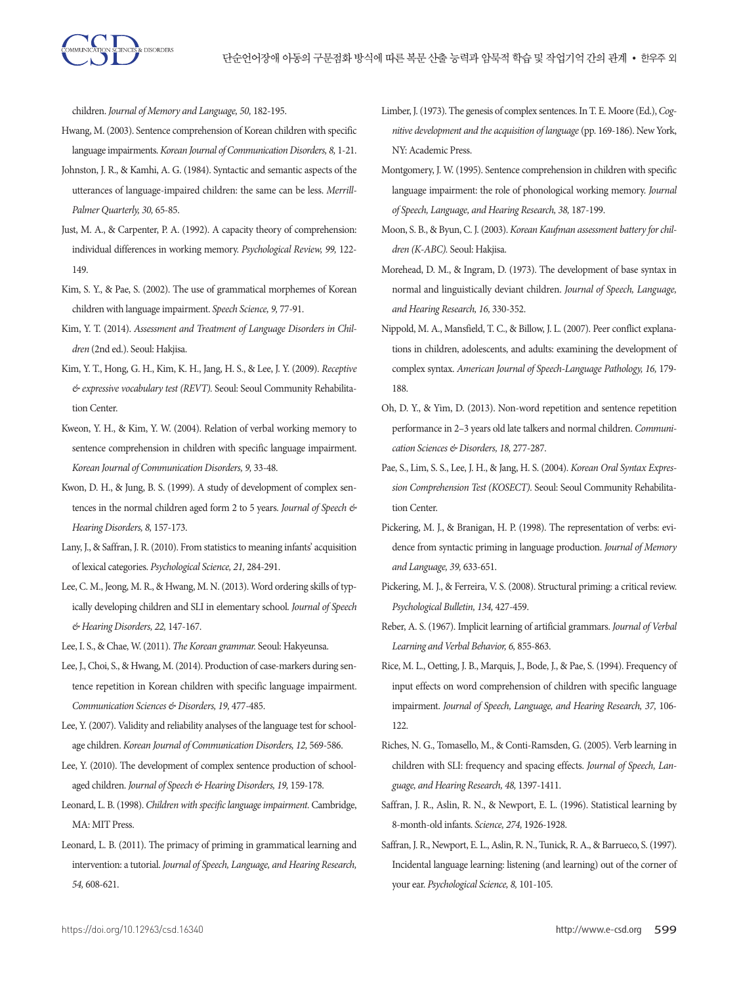children. *Journal of Memory and Language, 50,* 182-195.

- Hwang, M. (2003). Sentence comprehension of Korean children with specific language impairments. *Korean Journal of Communication Disorders, 8,* 1-21.
- Johnston, J. R., & Kamhi, A. G. (1984). Syntactic and semantic aspects of the utterances of language-impaired children: the same can be less. *Merrill-Palmer Quarterly, 30,* 65-85.
- Just, M. A., & Carpenter, P. A. (1992). A capacity theory of comprehension: individual differences in working memory. *Psychological Review, 99,* 122- 149.
- Kim, S. Y., & Pae, S. (2002). The use of grammatical morphemes of Korean children with language impairment. *Speech Science, 9,* 77-91.
- Kim, Y. T. (2014). *Assessment and Treatment of Language Disorders in Children* (2nd ed.). Seoul: Hakjisa.
- Kim, Y. T., Hong, G. H., Kim, K. H., Jang, H. S., & Lee, J. Y. (2009). *Receptive & expressive vocabulary test (REVT).* Seoul: Seoul Community Rehabilitation Center.
- Kweon, Y. H., & Kim, Y. W. (2004). Relation of verbal working memory to sentence comprehension in children with specific language impairment. *Korean Journal of Communication Disorders, 9,* 33-48.
- Kwon, D. H., & Jung, B. S. (1999). A study of development of complex sentences in the normal children aged form 2 to 5 years. *Journal of Speech & Hearing Disorders, 8,* 157-173.
- Lany, J., & Saffran, J. R. (2010). From statistics to meaning infants' acquisition of lexical categories. *Psychological Science, 21,* 284-291.
- Lee, C. M., Jeong, M. R., & Hwang, M. N. (2013). Word ordering skills of typically developing children and SLI in elementary school. *Journal of Speech & Hearing Disorders, 22,* 147-167.
- Lee, I. S., & Chae, W. (2011). *The Korean grammar.* Seoul: Hakyeunsa.
- Lee, J., Choi, S., & Hwang, M. (2014). Production of case-markers during sentence repetition in Korean children with specific language impairment. *Communication Sciences & Disorders, 19,* 477-485.
- Lee, Y. (2007). Validity and reliability analyses of the language test for schoolage children. *Korean Journal of Communication Disorders, 12,* 569-586.
- Lee, Y. (2010). The development of complex sentence production of schoolaged children. *Journal of Speech & Hearing Disorders, 19,* 159-178.
- Leonard, L. B. (1998). *Children with specific language impairment.* Cambridge, MA: MIT Press.
- Leonard, L. B. (2011). The primacy of priming in grammatical learning and intervention: a tutorial. *Journal of Speech, Language, and Hearing Research, 54,* 608-621.
- Limber, J. (1973). The genesis of complex sentences. In T. E. Moore (Ed.), *Cognitive development and the acquisition of language* (pp. 169-186). New York, NY: Academic Press.
- Montgomery, J. W. (1995). Sentence comprehension in children with specific language impairment: the role of phonological working memory. *Journal of Speech, Language, and Hearing Research, 38,* 187-199.
- Moon, S. B., & Byun, C. J. (2003). *Korean Kaufman assessment battery for children (K-ABC).* Seoul: Hakjisa.
- Morehead, D. M., & Ingram, D. (1973). The development of base syntax in normal and linguistically deviant children. *Journal of Speech, Language, and Hearing Research, 16,* 330-352.
- Nippold, M. A., Mansfield, T. C., & Billow, J. L. (2007). Peer conflict explanations in children, adolescents, and adults: examining the development of complex syntax. *American Journal of Speech-Language Pathology, 16, 179-*188.
- Oh, D. Y., & Yim, D. (2013). Non-word repetition and sentence repetition performance in 2–3 years old late talkers and normal children. *Communication Sciences & Disorders, 18,* 277-287.
- Pae, S., Lim, S. S., Lee, J. H., & Jang, H. S. (2004). *Korean Oral Syntax Expression Comprehension Test (KOSECT).* Seoul: Seoul Community Rehabilitation Center.
- Pickering, M. J., & Branigan, H. P. (1998). The representation of verbs: evidence from syntactic priming in language production. *Journal of Memory and Language, 39,* 633-651.
- Pickering, M. J., & Ferreira, V. S. (2008). Structural priming: a critical review. *Psychological Bulletin, 134,* 427-459.
- Reber, A. S. (1967). Implicit learning of artificial grammars. *Journal of Verbal Learning and Verbal Behavior, 6,* 855-863.
- Rice, M. L., Oetting, J. B., Marquis, J., Bode, J., & Pae, S. (1994). Frequency of input effects on word comprehension of children with specific language impairment. *Journal of Speech, Language, and Hearing Research, 37,* 106- 122.
- Riches, N. G., Tomasello, M., & Conti-Ramsden, G. (2005). Verb learning in children with SLI: frequency and spacing effects. *Journal of Speech, Language, and Hearing Research, 48,* 1397-1411.
- Saffran, J. R., Aslin, R. N., & Newport, E. L. (1996). Statistical learning by 8-month-old infants. *Science, 274,* 1926-1928.
- Saffran, J. R., Newport, E. L., Aslin, R. N., Tunick, R. A., & Barrueco, S. (1997). Incidental language learning: listening (and learning) out of the corner of your ear. *Psychological Science, 8,* 101-105.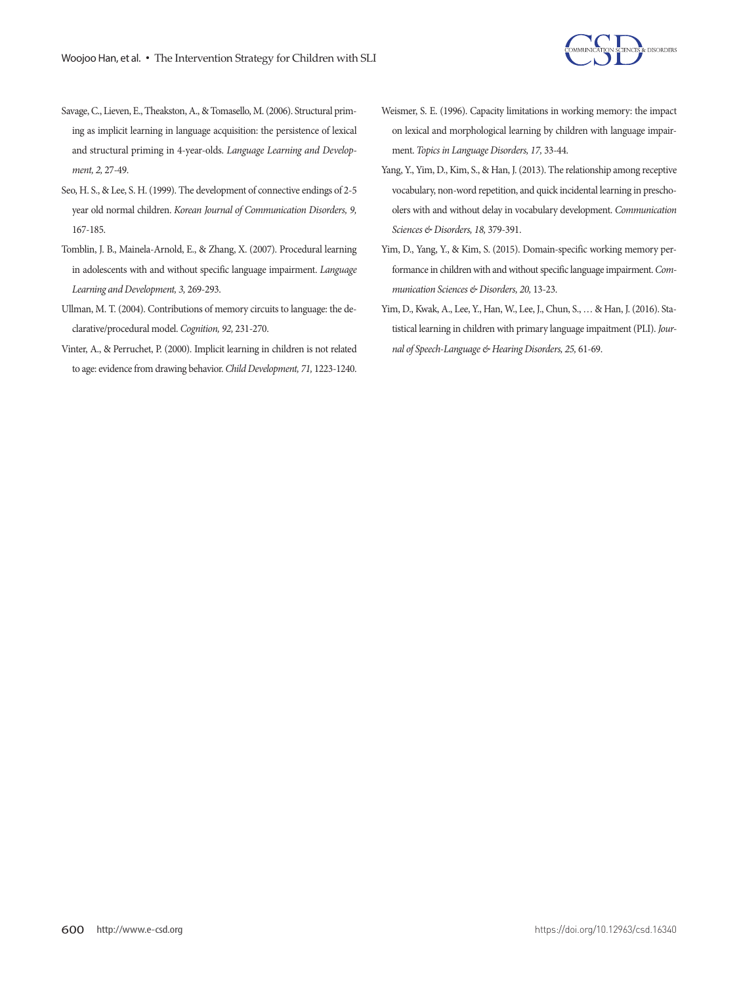

- Savage, C., Lieven, E., Theakston, A., & Tomasello, M. (2006). Structural priming as implicit learning in language acquisition: the persistence of lexical and structural priming in 4-year-olds. *Language Learning and Development, 2,* 27-49.
- Seo, H. S., & Lee, S. H. (1999). The development of connective endings of 2-5 year old normal children. *Korean Journal of Communication Disorders, 9,*  167-185.
- Tomblin, J. B., Mainela-Arnold, E., & Zhang, X. (2007). Procedural learning in adolescents with and without specific language impairment. *Language Learning and Development, 3,* 269-293.
- Ullman, M. T. (2004). Contributions of memory circuits to language: the declarative/procedural model. *Cognition, 92,* 231-270.
- Vinter, A., & Perruchet, P. (2000). Implicit learning in children is not related to age: evidence from drawing behavior. *Child Development, 71,* 1223-1240.
- Weismer, S. E. (1996). Capacity limitations in working memory: the impact on lexical and morphological learning by children with language impairment. *Topics in Language Disorders, 17,* 33-44.
- Yang, Y., Yim, D., Kim, S., & Han, J. (2013). The relationship among receptive vocabulary, non-word repetition, and quick incidental learning in preschoolers with and without delay in vocabulary development. *Communication Sciences & Disorders, 18,* 379-391.
- Yim, D., Yang, Y., & Kim, S. (2015). Domain-specific working memory performance in children with and without specific language impairment. *Communication Sciences & Disorders, 20,* 13-23.
- Yim, D., Kwak, A., Lee, Y., Han, W., Lee, J., Chun, S., … & Han, J. (2016). Statistical learning in children with primary language impaitment (PLI). *Journal of Speech-Language & Hearing Disorders, 25,* 61-69.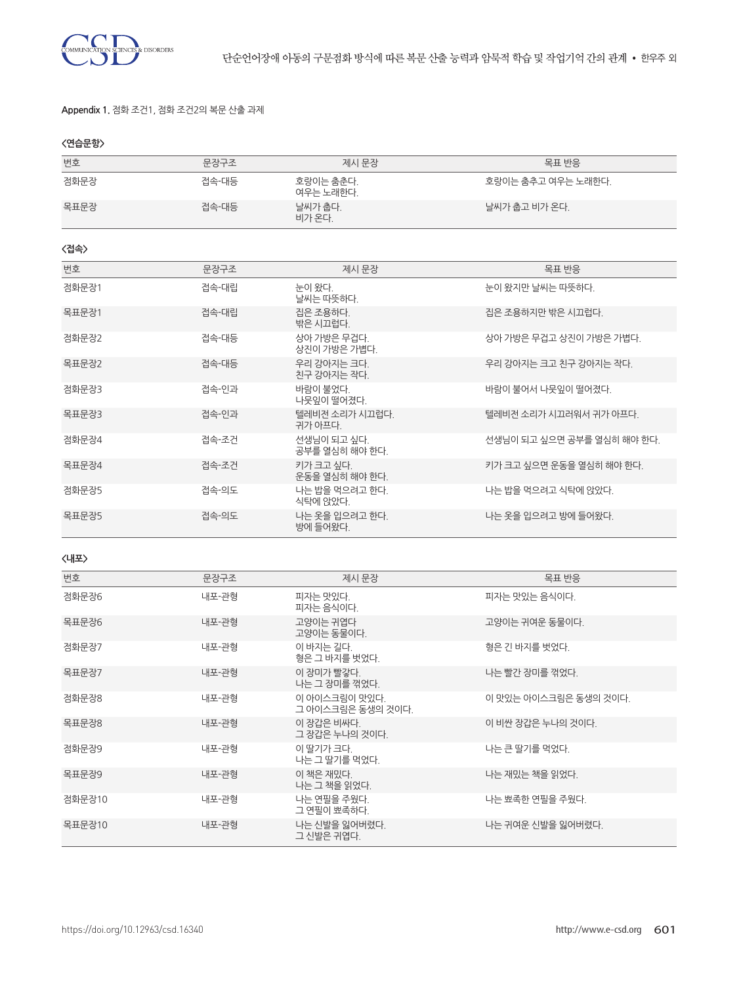

### **Appendix 1.** 점화 조건1, 점화 조건2의 복문 산출 과제

|  |  | $\sim$ |
|--|--|--------|
|  |  |        |

| 번호     | 문장구조  | 제시 문장                              | 목표 반응                      |
|--------|-------|------------------------------------|----------------------------|
| 점화문장   | 접속-대등 | 호랑이는 춤춘다.<br>여우는 노래한다.             | 호랑이는 춤추고 여우는 노래한다.         |
| 목표문장   | 접속-대등 | 날씨가 춥다.<br>비가 온다.                  | 날씨가 춥고 비가 온다.              |
| 〈접속〉   |       |                                    |                            |
| 번호     | 문장구조  | 제시 문장                              | 목표 반응                      |
| 점화문장1  | 접속-대립 | 눈이 왔다.<br>날씨는 따뜻하다.                | 눈이 왔지만 날씨는 따뜻하다.           |
| 목표문장1  | 접속-대립 | 집은 조용하다.<br>밖은 시끄럽다.               | 집은 조용하지만 밖은 시끄럽다.          |
| 점화문장2  | 접속-대등 | 상아 가방은 무겁다.<br>상진이 가방은 가볍다.        | 상아 가방은 무겁고 상진이 가방은 가볍다.    |
| 목표문장2  | 접속-대등 | 우리 강아지는 크다.<br>친구 강아지는 작다.         | 우리 강아지는 크고 친구 강아지는 작다.     |
| 점화문장3  | 접속-인과 | 바람이 불었다.<br>나뭇잎이 떨어졌다.             | 바람이 불어서 나뭇잎이 떨어졌다.         |
| 목표문장3  | 접속-인과 | 텔레비전 소리가 시끄럽다.<br>귀가 아프다.          | 텔레비전 소리가 시끄러워서 귀가 아프다.     |
| 점화문장4  | 접속-조거 | 선생님이 되고 싶다.<br>공부를 열심히 해야 한다.      | 선생님이 되고 싶으면 공부를 열심히 해야 한다. |
| 목표문장4  | 접속-조건 | 키가 크고 싶다.<br>운동을 열심히 해야 한다.        | 키가 크고 싶으면 운동을 열심히 해야 한다.   |
| 점화문장5  | 접속-의도 | 나는 밥을 먹으려고 한다.<br>식탁에 앉았다.         | 나는 밥을 먹으려고 식탁에 앉았다.        |
| 목표문장5  | 접속-의도 | 나는 옷을 입으려고 한다.<br>방에 들어왔다.         | 나는 옷을 입으려고 방에 들어왔다.        |
| 〈내포〉   |       |                                    |                            |
| 번호     | 문장구조  | 제시 문장                              | 목표 반응                      |
| 점화문장6  | 내포-관형 | 피자는 맛있다.<br>피자는 음식이다.              | 피자는 맛있는 음식이다.              |
| 목표문장6  | 내포-관형 | 고양이는 귀엽다<br>고양이는 동물이다.             | 고양이는 귀여운 동물이다.             |
| 점화문장7  | 내포-관형 | 이 바지는 길다.<br>형은 그 바지를 벗었다.         | 형은 긴 바지를 벗었다.              |
| 목표문장7  | 내포-관형 | 이 장미가 빨갛다.<br>나는 그 장미를 꺾었다.        | 나는 빨간 장미를 꺾었다.             |
| 점화문장8  | 내포-관형 | 이 아이스크림이 맛있다.<br>그 아이스크림은 동생의 것이다. | 이 맛있는 아이스크림은 동생의 것이다.      |
| 목표문장8  | 내포-관형 | 이 장갑은 비싸다.<br>그 장갑은 누나의 것이다.       | 이 비싼 장갑은 누나의 것이다.          |
| 점화문장9  | 내포-관형 | 이 딸기가 크다.<br>나는 그 딸기를 먹었다.         | 나는 큰 딸기를 먹었다.              |
| 목표문장9  | 내포-관형 | 이 책은 재밌다.<br>나는 그 책을 읽었다.          | 나는 재밌는 책을 읽었다.             |
| 점화문장10 | 내포-관형 | 나는 연필을 주웠다.<br>그 연필이 뾰족하다.         | 나는 뾰족한 연필을 주웠다.            |
| 목표문장10 | 내포-관형 | 나는 신발을 잃어버렸다.<br>그 신발은 귀엽다.        | 나는 귀여운 신발을 잃어버렸다.          |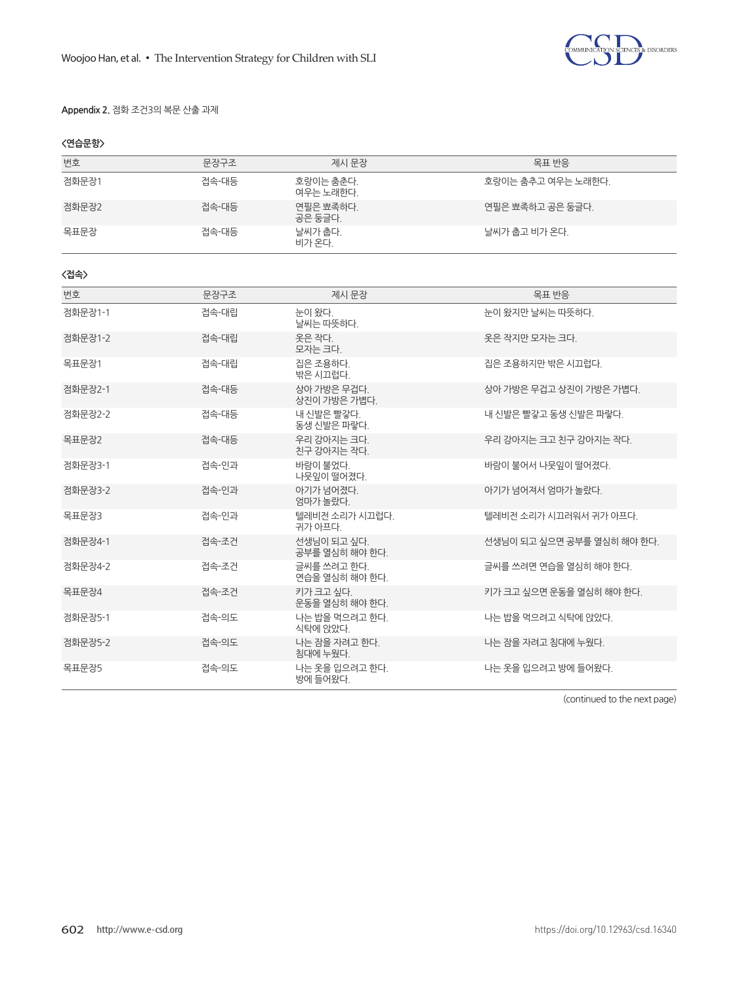

### **Appendix 2.** 점화 조건3의 복문 산출 과제

### **<연습문항>**

| 번호      | 문장구조  | 제시 문장                         | 목표 반응                      |
|---------|-------|-------------------------------|----------------------------|
| 점화문장1   | 접속-대등 | 호랑이는 춤춘다.<br>여우는 노래하다.        | 호랑이는 춤추고 여우는 노래한다.         |
| 점화문장2   | 접속-대등 | 연필은 뾰족하다.<br>공은 둥글다.          | 연필은 뾰족하고 공은 둥글다.           |
| 목표문장    | 접속-대등 | 날씨가 춥다.<br>비가 온다.             | 날씨가 춤고 비가 온다.              |
| 〈접속〉    |       |                               |                            |
| 번호      | 문장구조  | 제시 문장                         | 목표 반응                      |
| 점화문장1-1 | 접속-대립 | 눈이 왔다.<br>날씨는 따뜻하다.           | 눈이 왔지만 날씨는 따뜻하다.           |
| 점화문장1-2 | 접속-대립 | 옷은 작다.<br>모자는 크다.             | 옷은 작지만 모자는 크다.             |
| 목표문장1   | 접속-대립 | 집은 조용하다.<br>밖은 시끄럽다.          | 집은 조용하지만 밖은 시끄럽다.          |
| 점화문장2-1 | 접속-대등 | 상아 가방은 무겁다.<br>상진이 가방은 가볍다.   | 상아 가방은 무겁고 상진이 가방은 가볍다.    |
| 점화문장2-2 | 접속-대등 | 내 신발은 빨갛다.<br>동생 신발은 파랗다.     | 내 신발은 빨갛고 동생 신발은 파랗다.      |
| 목표문장2   | 접속-대등 | 우리 강아지는 크다.<br>친구 강아지는 작다.    | 우리 강아지는 크고 친구 강아지는 작다.     |
| 점화문장3-1 | 접속-인과 | 바람이 불었다.<br>나뭇잎이 떨어졌다.        | 바람이 불어서 나뭇잎이 떨어졌다.         |
| 점화문장3-2 | 접속-인과 | 아기가 넘어졌다.<br>엄마가 놀랐다.         | 아기가 넘어져서 엄마가 놀랐다.          |
| 목표문장3   | 접속-인과 | 텔레비전 소리가 시끄럽다.<br>귀가 아프다.     | 텔레비전 소리가 시끄러워서 귀가 아프다.     |
| 점화문장4-1 | 접속-조건 | 선생님이 되고 싶다.<br>공부를 열심히 해야 한다. | 선생님이 되고 싶으면 공부를 열심히 해야 한다. |
| 점화문장4-2 | 접속-조건 | 글씨를 쓰려고 한다.<br>연습을 열심히 해야 한다. | 글씨를 쓰려면 연습을 열심히 해야 한다.     |
| 목표문장4   | 접속-조건 | 키가 크고 싶다.<br>운동을 열심히 해야 한다.   | 키가 크고 싶으면 운동을 열심히 해야 한다.   |
| 점화문장5-1 | 접속-의도 | 나는 밥을 먹으려고 한다.<br>식탁에 앉았다.    | 나는 밥을 먹으려고 식탁에 앉았다.        |
| 점화문장5-2 | 접속-의도 | 나는 잠을 자려고 한다.<br>침대에 누웠다.     | 나는 잠을 자려고 침대에 누웠다.         |
| 목표문장5   | 접속-의도 | 나는 옷을 입으려고 한다.<br>방에 들어왔다.    | 나는 옷을 입으려고 방에 들어왔다.        |

(continued to the next page)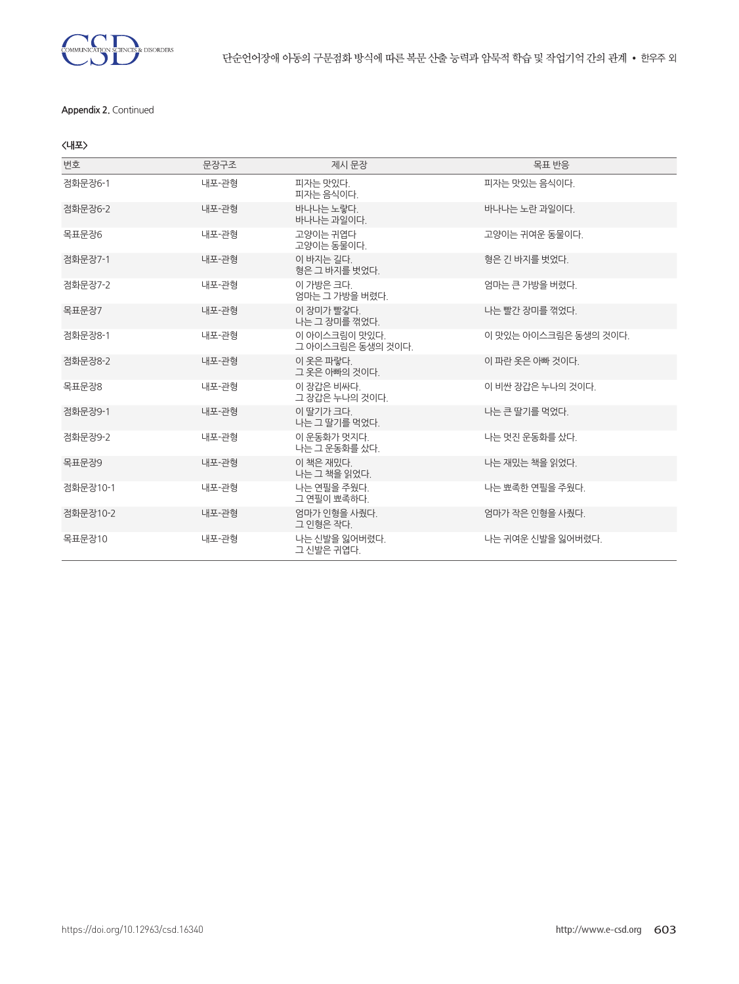

### **Appendix 2.** Continued

### **<내포>**

| 번호       | 문장구조  | 제시 문장                              | 목표 반응                 |
|----------|-------|------------------------------------|-----------------------|
| 점화문장6-1  | 내포-관형 | 피자는 맛있다.<br>피자는 음식이다.              | 피자는 맛있는 음식이다.         |
| 점화문장6-2  | 내포-관형 | 바나나는 노랗다.<br>바나나는 과일이다.            | 바나나는 노란 과일이다.         |
| 목표문장6    | 내포-관형 | 고양이는 귀엽다<br>고양이는 동물이다.             | 고양이는 귀여운 동물이다.        |
| 점화문장7-1  | 내포-관형 | 이 바지는 길다.<br>형은 그 바지를 벗었다.         | 형은 긴 바지를 벗었다.         |
| 점화문장7-2  | 내포-관형 | 이 가방은 크다.<br>엄마는 그 가방을 버렸다.        | 엄마는 큰 가방을 버렸다.        |
| 목표문장7    | 내포-관형 | 이 장미가 빨갛다.<br>나는 그 장미를 꺾었다.        | 나는 빨간 장미를 꺾었다.        |
| 점화문장8-1  | 내포-관형 | 이 아이스크림이 맛있다.<br>그 아이스크림은 동생의 것이다. | 이 맛있는 아이스크림은 동생의 것이다. |
| 점화문장8-2  | 내포-관형 | 이 옷은 파랗다.<br>그 옷은 아빠의 것이다.         | 이 파란 옷은 아빠 것이다.       |
| 목표문장8    | 내포-관형 | 이 장갑은 비싸다.<br>그 장갑은 누나의 것이다.       | 이 비싼 장갑은 누나의 것이다.     |
| 점화문장9-1  | 내포-관형 | 이 딸기가 크다.<br>나는 그 딸기를 먹었다.         | 나는 큰 딸기를 먹었다.         |
| 점화문장9-2  | 내포-관형 | 이 운동화가 멋지다.<br>나는 그 운동화를 샀다.       | 나는 멋진 운동화를 샀다.        |
| 목표문장9    | 내포-관형 | 이 책은 재밌다.<br>나는 그 책을 읽었다.          | 나는 재밌는 책을 읽었다.        |
| 점화문장10-1 | 내포-관형 | 나는 연필을 주웠다.<br>그 연필이 뾰족하다.         | 나는 뾰족한 연필을 주웠다.       |
| 점화문장10-2 | 내포-관형 | 엄마가 인형을 사줬다.<br>그 인형은 작다.          | 엄마가 작은 인형을 사줬다.       |
| 목표문장10   | 내포-관형 | 나는 신발을 잃어버렸다.<br>그 신발은 귀엽다.        | 나는 귀여운 신발을 잃어버렸다.     |